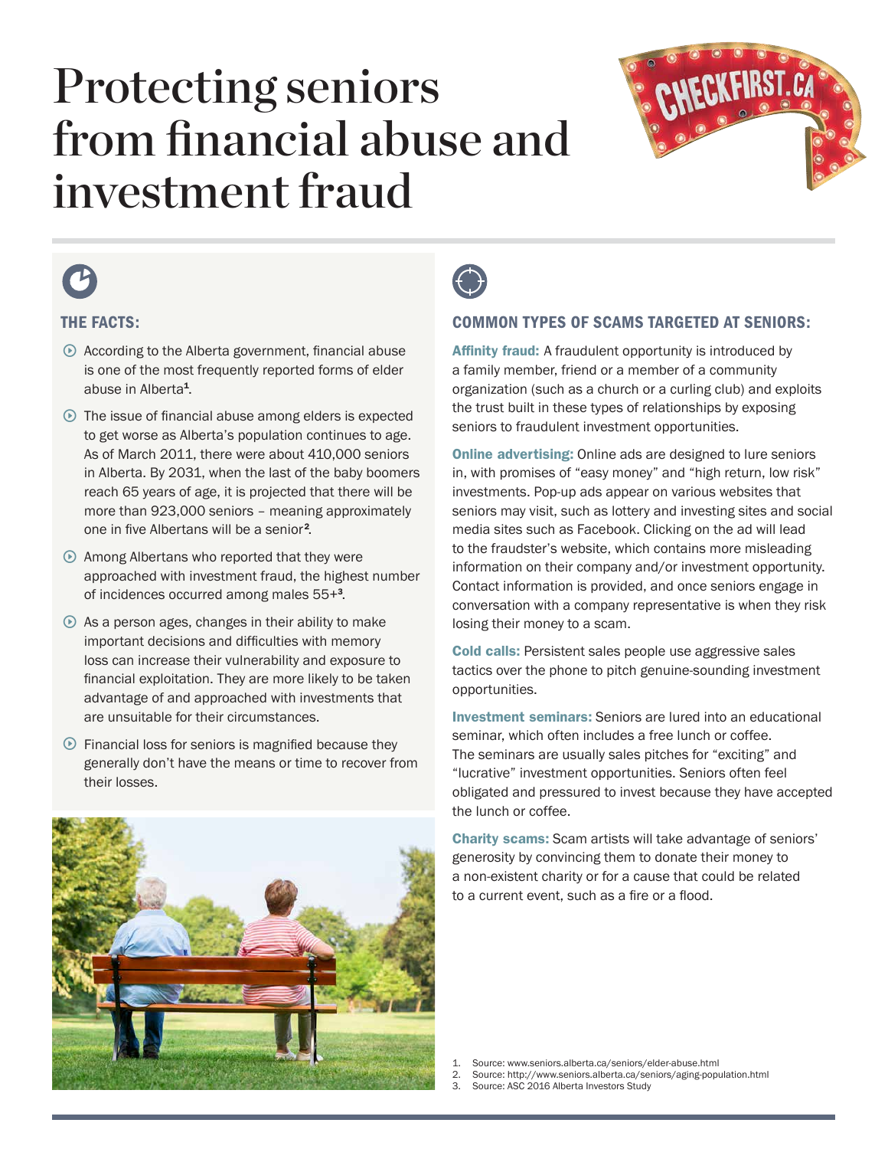# Protecting seniors from financial abuse and investment fraud





## THE FACTS:

- $\odot$  According to the Alberta government, financial abuse is one of the most frequently reported forms of elder abuse in Alberta<sup>1</sup>.
- $\odot$  The issue of financial abuse among elders is expected to get worse as Alberta's population continues to age. As of March 2011, there were about 410,000 seniors in Alberta. By 2031, when the last of the baby boomers reach 65 years of age, it is projected that there will be more than 923,000 seniors – meaning approximately one in five Albertans will be a senior<sup>2</sup>.
- $\odot$  Among Albertans who reported that they were approached with investment fraud, the highest number of incidences occurred among males 55+<sup>3</sup> .
- $\odot$  As a person ages, changes in their ability to make important decisions and difficulties with memory loss can increase their vulnerability and exposure to financial exploitation. They are more likely to be taken advantage of and approached with investments that are unsuitable for their circumstances.
- $\odot$  Financial loss for seniors is magnified because they generally don't have the means or time to recover from their losses.





### COMMON TYPES OF SCAMS TARGETED AT SENIORS:

Affinity fraud: A fraudulent opportunity is introduced by a family member, friend or a member of a community organization (such as a church or a curling club) and exploits the trust built in these types of relationships by exposing seniors to fraudulent investment opportunities.

Online advertising: Online ads are designed to lure seniors in, with promises of "easy money" and "high return, low risk" investments. Pop-up ads appear on various websites that seniors may visit, such as lottery and investing sites and social media sites such as Facebook. Clicking on the ad will lead to the fraudster's website, which contains more misleading information on their company and/or investment opportunity. Contact information is provided, and once seniors engage in conversation with a company representative is when they risk losing their money to a scam.

Cold calls: Persistent sales people use aggressive sales tactics over the phone to pitch genuine-sounding investment opportunities.

Investment seminars: Seniors are lured into an educational seminar, which often includes a free lunch or coffee. The seminars are usually sales pitches for "exciting" and "lucrative" investment opportunities. Seniors often feel obligated and pressured to invest because they have accepted the lunch or coffee.

Charity scams: Scam artists will take advantage of seniors' generosity by convincing them to donate their money to a non-existent charity or for a cause that could be related to a current event, such as a fire or a flood.

1. Source: www.seniors.alberta.ca/seniors/elder-abuse.html

2. Source: http://www.seniors.alberta.ca/seniors/aging-population.html<br>3. Source: ASC 2016 Alberta Investors Study

3. Source: ASC 2016 Alberta Investors Study